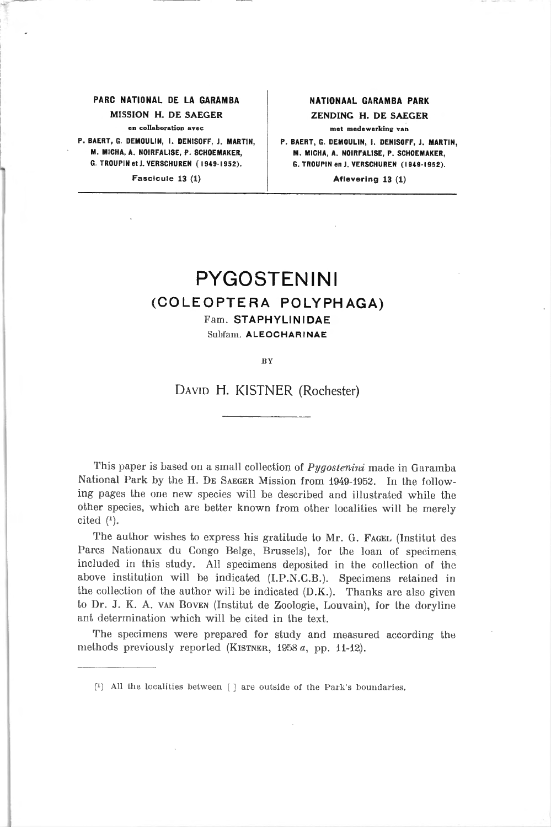### PARC NATIONAL DE LA GARAMBA | NATIONAAL GARAMBA PARK MISSION H. DE SAEGER ZENDING H. DE SAEGER en collaboration avec **met medewerking** van

P. BAERT, G. DEMOULIN, I. DENISOFF, J. MARTIN, P. BAERT, G. DEMOULIN, I. DENISOFF, J. MARTIN, M. MICHA. A. NOIRFALISE. P. SCHOEMAKER. M. MICHA, A. NOIRFALISE, P. SCHOEMAKER, M. MICHA, A. NOIRFALISE, P. SCHOEMAKER, G. TROUPIN et J. VERSCHURER, C<br>G. TROUPIN et J. VERSCHUREN (1949-1952). G. TROUPIN en J. VERSCHUREN (1949-1952).

Fascicule 13 (1) and the set of the Aflevering 13 (1)

G. TROUPIN en J. VERSCHUREN (1949-1952).

# PYGOSTENINI

# (COLEOPTERA POLYPHAGA)

Fam. STAPHYLINIDAE Subfam. ALEOCHARINAE

BY

## David H. KISTNER (Rochester)

This paper is based on a small collection of *Pygostenini* made in Garamba National Park by the H. De Saeger Mission from 1949-1952. In the following pages the one new species will be described and illustrated while the other species, which are better known from other localities will be merely cited  $(1)$ .

The author wishes to express his gratitude to Mr. G. FAGEL (Institut des Parcs Nationaux du Congo Belge, Brussels), for the loan of specimens included in this study. Ail specimens deposited in the collection of the above institution will be indicated (I.P.N.C.B.). Specimens retained in the collection of the author will be indicated (D.K.). Thanks are also given to Dr. J. K. A. van Boven (Institut de Zoologie, Louvain), for the doryline ant détermination which will be cited in the text.

The specimens were prepared for study and measured according the methods previously reported (KISTNER,  $1958 a$ , pp. 11-12).

 $\binom{1}{1}$  All the localities between [ ] are outside of the Park's boundaries.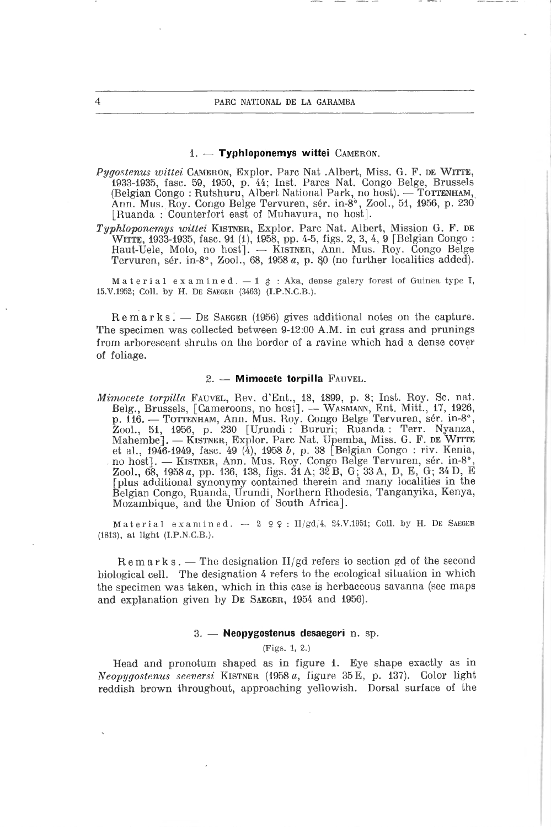#### $1.$  - Typhloponemys wittei  $\text{CAMERON}.$

- Pygostenus wittei CAMERON, Explor. Parc Nat . Albert, Miss. G. F. DE WITTE, 1933-1935, fase. 59, 1950, p. 44; Inst. Parcs Nat. Congo Belge, Brussels (Belgian Congo : Rutshuru, Albert National Park, no host). — TOTTENHAM, Ann. Mus. Roy. Congo Belge Tervuren, sér. in-8°, Zool., 51, 1956, p. <sup>230</sup> [Ruanda : Counterfort east of Muhavura, no host].
- Typhloponemys wittei Kistner, Explor. Parc Nat. Albert, Mission G. F. de Witte, 1933-1935, fase. <sup>91</sup> (1), 1958, pp. 4-5, figs. 2, 3, 4, <sup>9</sup> [Belgian Congo : Haut-Uele, Moto, no host], — Kistner, Ann. Mus. Roy. Congo Belge Tervuren, sér. in-8°, Zool., 68, 1958 «, p. 80 (no further localities added).

Material examined.  $-1 \uparrow$ : Aka, dense galery forest of Guinea type I, 15.V.1952; Coll. by H. De Saeger (3463) (i.P.N.C.B.).

Remarks. — De Saeger (1956) gives additional notes on the capture. The specimen was collected between 9-12:00 A.M. in eut grass and prunings frorn arborescent shrubs on the border of a ravine which had a dense cover of foliage.

#### 2. — Mimocete torpilla Fauvel.

Mimocete torpilla Fauvel, Rev. d'Ent., 18, 1899, p. 8; Inst. Roy. Sc. nat. Belg., Brussels, [Cameroons, no host]. — Wasmann, Ent. Mitt., 17, 1926, p. 116. — Tottenham, Ann. Mus. Roy. Congo Belge Tervuren, sér. in-8°, Zool., 51, 1956, p. 230 [Urundi : Bururi; Ruanda : Terr. Nyanza, Mahembe], — Kistner, Explor. Parc Nat. Upemba, Miss. G. F. de Witte et al., 1946-1949, fasc. <sup>49</sup> (4), <sup>1958</sup> b, p. <sup>38</sup> [Belgian Congo : riv. Kenia, no host]. — Kistner, Ann. Mus. Roy. Congo Belge Tervuren, sér. in-8°, Zool., 68, 1958a, pp. 136, 138, figs. 31 A; 32 B, G; 33 A, D, E, G; 34 D, E [plus additional synonymy contained therein and many localities in the Belgian Congo, Ruanda, Urundi, Northern Rhodesia, Tanganyika, Kenya, Mozambique, and the Union of South Africa],

Material examined.  $-$  2  $9$  9: II/gd/4, 24.V.1951; Coll. by H. DE SAEGER (1813), at light (I.P.N C.B.).

 $R$  e m a r k s . — The designation II/gd refers to section gd of the second biological cell. The désignation <sup>4</sup> refers to the ecological situation in which the specimen was taken, which in this case is herbaceous savanna (see maps and explanation given by De Saeger, <sup>1954</sup> and 1956).

#### 3. — Neopygostenus desaegeri n. sp.

#### (Figs. 1, 2.)

Head and pronotum shaped as in figure 1. Eye shape exactly as in Neopygostenus seeversi Kistner (1958 a, figure 35 E, p. 137). Color light reddish brown throughout, approaching yellowish. Dorsal surface of the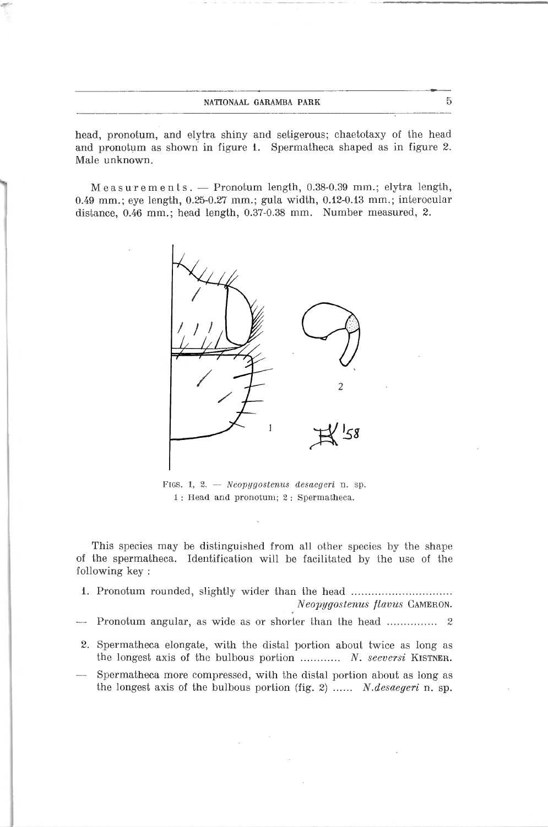#### nationaal garamba park 5

head, pronotum, and elytra shiny and setigerous; chaetotaxy of the head and pronotum as shown in figure 1. Spermatheca shaped as in figure 2. Male unknown.

Measurements. — Pronotum length, 0.38-0.39 mm.; elytra length, 0.49 mm.; eye length, 0.25-0.27 mm.; gula width, 0.12-0.13 mm.; interocular distance, 0.46 mm.; head length, 0.37-0.38 mm. Number measured, 2.



figs. 1, 2. — Neopygostenws desaegen n. sp. <sup>1</sup> : Head and pronotum; <sup>2</sup> : Spermatheca.

This species may be distinguished from all other species by the shape of the spermatheca. Identification will be facilitated by the use of the following key ;

- 1. Pronotum rounded, slightly wider than the head Neopygostenus flavus Cameron.
- -— Pronotum angular, as wide as or shorter than the head <sup>2</sup>
- 2. Spermatheca elongate, with the distal portion about twice as long as the longest axis of the bulbous portion  $\ldots$ ......... N. seeversi KISTNER.
- Spermatheca more compressed, wilh the distal portion about as long as the longest axis of the bulbous portion (fig. 2) ......  $N. desaegeri$  n. sp.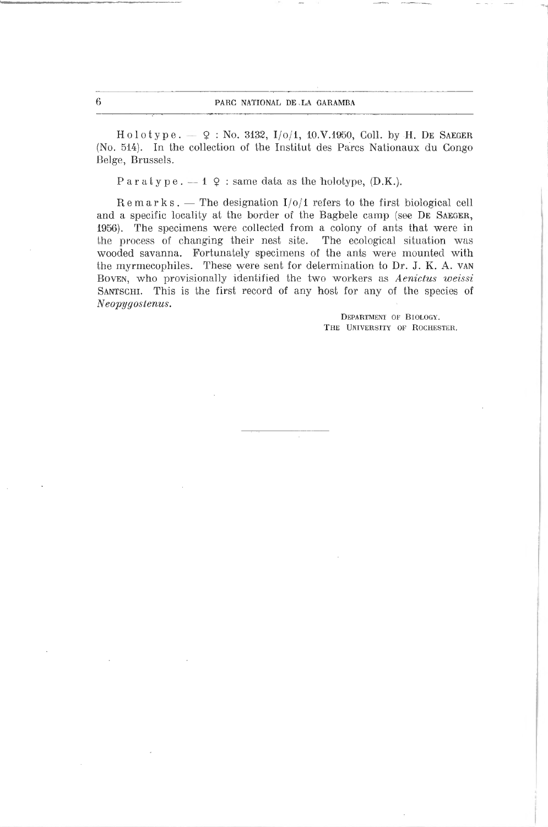$H \circ l \circ t \circ p \circ . - 9 : No. 3132, I/\circ/4, 10.V.1950, Coll. by H. DE SAEGER$ (No. 514). In the collection of the Institut des Parcs Nationaux du Congo Belge, Brussels.

 $\text{Paratype.} = 1 \text{ } \varphi : \text{same data as the holotype, (D.K.).}$ 

 $Remarks.$  — The designation  $I/O/1$  refers to the first biological cell and a specific locality at the border of the Bagbele camp (see DE SAEGER, 1956). The specimens were collected from a eoiony of ants that were in the process of changing their nest site. The ecological situation was wooded savanna. Fortunately specimens of the ants were mounted with the myrmecophiles. These were sent for détermination to Dr. J. K. A. van Boven, who provisionally identified the two workers as Aenictus weissi SANTSCHI. This is the first record of any host for any of the species of Neopygostenus.

> Department oe Biology. The University of Rochester.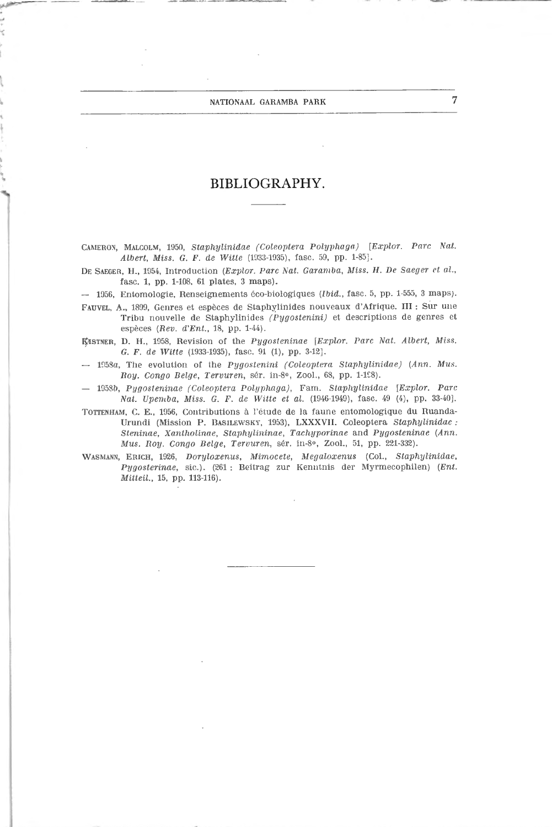#### NATIONAAL GARAMBA PARK 7

# BIBLIOGRAPHY.

Cameron, Malcolm, 1950, Staphylinidae (Coleoptera Polyphaga) [Explor. Pare Nat. Albert, Miss. G. F. de Witte (1933-1935), fase. 59, pp. 1-85].

DE SAEGER, H., 1954, Introduction (Explor. Parc Nat. Garamba, Miss. H. De Saeger et al., fase. 1, pp. 1-108, <sup>01</sup> plates, <sup>3</sup> maps).

— 1956, Entomologie, Renseignements éco-biologiques (Ibid., fase. 5, pp. 1-555, <sup>3</sup> maps).

Fauvel, A., 1899, Genres et espèces de Staphylinides nouveaux d'Afrique. III : Sur une Tribu nouvelle de Staphylinides (Pygostenini) et descriptions de genres et espèces (Rev. d'Ent., 18, pp. 1-44).

KISTNER, D. H., 1958, Revision of the Pygosteninae [Explor. Parc Nat. Albert, Miss. G. F. de Witte (1933-1935), fase. <sup>91</sup> (1), pp. 3-12],

— 1958a, The évolution of tlie Pygostenini (Coleoptera Staphylinidae) (Ann. Mus. Roy. Congo Belge, Tervuren, sér. in-8°, Zool., 68, pp. 1-198).

— 19580, Pygosteninae (Coleoptera Polyphaga), Fam. Staphylinidae [Explor. Parc Nat. Vpemba, Miss. G. F. de Witte et al. (1946-1949), fasc. <sup>49</sup> (4), pp. 33-40],

TOTTENHAM, C. E., 1956, Contributions à l'étude de la faune entomologique du Ruanda-Urundi (Mission P. Basilewsky, 1953), LXXXVII. Coleoptera Staphylinidae : Steninae, Xantholinae, Staphylininae, Tachyporinae and Pygosteninae (Ann. Mus. Roy. Congo Belge, Tervuren, sér. in-8°, Zool., 51, pp. 221-332).

Wasmann, Erich, 1926, Doryloxenus, Mimocete, Megaloxenus (Col., Staphylinidae, Pygosterinae, sic.). (261 : Reitrag zur Kenntnis der Myrmecophilen) (Ent. Mitteil., 15, pp. 113-116).